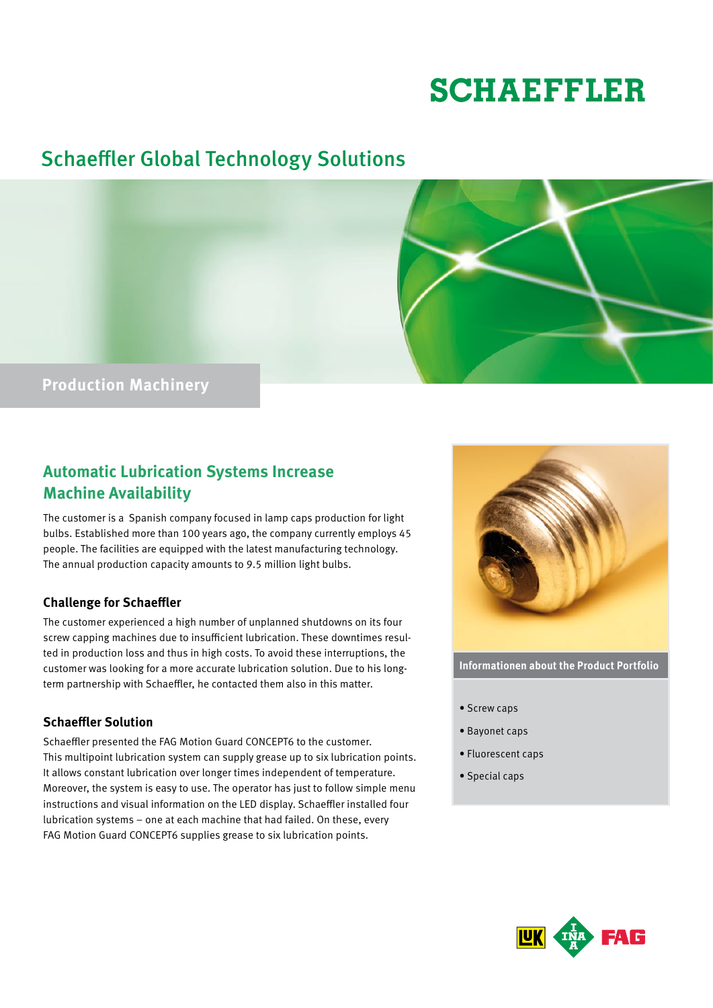# **SCHAEFFLER**

# Schaeffler Global Technology Solutions



## **Automatic Lubrication Systems Increase Machine Availability**

The customer is a Spanish company focused in lamp caps production for light bulbs. Established more than 100 years ago, the company currently employs 45 people. The facilities are equipped with the latest manufacturing technology. The annual production capacity amounts to 9.5 million light bulbs.

#### **Challenge for Schaeffler**

The customer experienced a high number of unplanned shutdowns on its four screw capping machines due to insufficient lubrication. These downtimes resulted in production loss and thus in high costs. To avoid these interruptions, the customer was looking for a more accurate lubrication solution. Due to his longterm partnership with Schaeffler, he contacted them also in this matter.

#### **Schaeffler Solution**

Schaeffler presented the FAG Motion Guard CONCEPT6 to the customer. This multipoint lubrication system can supply grease up to six lubrication points. It allows constant lubrication over longer times independent of temperature. Moreover, the system is easy to use. The operator has just to follow simple menu instructions and visual information on the LED display. Schaeffler installed four lubrication systems – one at each machine that had failed. On these, every FAG Motion Guard CONCEPT6 supplies grease to six lubrication points.



**Informationen about the Product Portfolio**

- Screw caps
- Bayonet caps
- Fluorescent caps
- Special caps